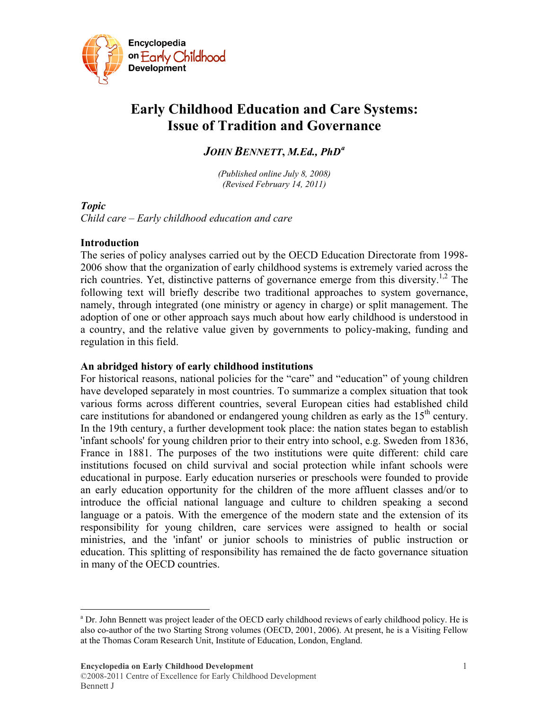

# **Early Childhood Education and Care Systems: Issue of Tradition and Governance**

# *JOHN BENNETT***,** *M.Ed., PhD[a](#page-0-0)*

*(Published online July 8, 2008) (Revised February 14, 2011)* 

# *Topic*

 $\overline{a}$ 

*Child care – Early childhood education and care* 

### **Introduction**

The series of policy analyses carried out by the OECD Education Directorate from 1998- 2006 show that the organization of early childhood systems is extremely varied across the rich countries. Yet, distinctive patterns of governance emerge from this diversity.<sup>1,2</sup> The following text will briefly describe two traditional approaches to system governance, namely, through integrated (one ministry or agency in charge) or split management. The adoption of one or other approach says much about how early childhood is understood in a country, and the relative value given by governments to policy-making, funding and regulation in this field.

# **An abridged history of early childhood institutions**

For historical reasons, national policies for the "care" and "education" of young children have developed separately in most countries. To summarize a complex situation that took various forms across different countries, several European cities had established child care institutions for abandoned or endangered young children as early as the 15<sup>th</sup> century. In the 19th century, a further development took place: the nation states began to establish 'infant schools' for young children prior to their entry into school, e.g. Sweden from 1836, France in 1881. The purposes of the two institutions were quite different: child care institutions focused on child survival and social protection while infant schools were educational in purpose. Early education nurseries or preschools were founded to provide an early education opportunity for the children of the more affluent classes and/or to introduce the official national language and culture to children speaking a second language or a patois. With the emergence of the modern state and the extension of its responsibility for young children, care services were assigned to health or social ministries, and the 'infant' or junior schools to ministries of public instruction or education. This splitting of responsibility has remained the de facto governance situation in many of the OECD countries.

<span id="page-0-0"></span><sup>&</sup>lt;sup>a</sup> Dr. John Bennett was project leader of the OECD early childhood reviews of early childhood policy. He is also co-author of the two Starting Strong volumes (OECD, 2001, 2006). At present, he is a Visiting Fellow at the Thomas Coram Research Unit, Institute of Education, London, England.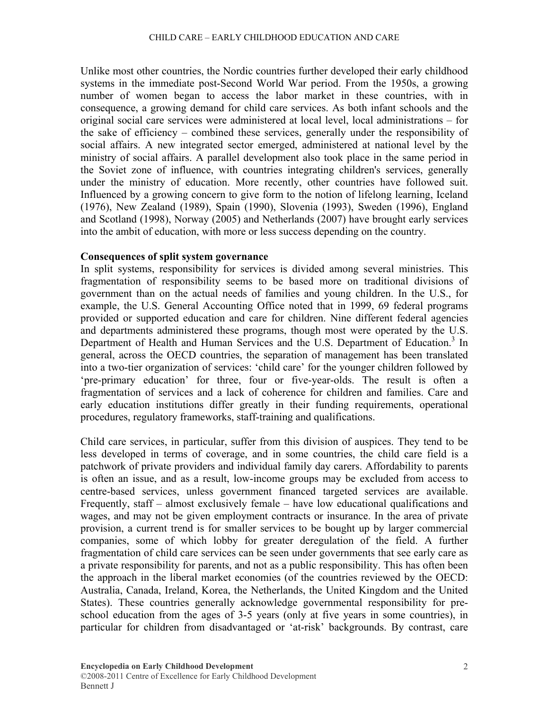Unlike most other countries, the Nordic countries further developed their early childhood systems in the immediate post-Second World War period. From the 1950s, a growing number of women began to access the labor market in these countries, with in consequence, a growing demand for child care services. As both infant schools and the original social care services were administered at local level, local administrations – for the sake of efficiency – combined these services, generally under the responsibility of social affairs. A new integrated sector emerged, administered at national level by the ministry of social affairs. A parallel development also took place in the same period in the Soviet zone of influence, with countries integrating children's services, generally under the ministry of education. More recently, other countries have followed suit. Influenced by a growing concern to give form to the notion of lifelong learning, Iceland (1976), New Zealand (1989), Spain (1990), Slovenia (1993), Sweden (1996), England and Scotland (1998), Norway (2005) and Netherlands (2007) have brought early services into the ambit of education, with more or less success depending on the country.

### **Consequences of split system governance**

In split systems, responsibility for services is divided among several ministries. This fragmentation of responsibility seems to be based more on traditional divisions of government than on the actual needs of families and young children. In the U.S., for example, the U.S. General Accounting Office noted that in 1999, 69 federal programs provided or supported education and care for children. Nine different federal agencies and departments administered these programs, though most were operated by the U.S. Department of Health and Human Services and the U.S. Department of Education.<sup>3</sup> In general, across the OECD countries, the separation of management has been translated into a two-tier organization of services: 'child care' for the younger children followed by 'pre-primary education' for three, four or five-year-olds. The result is often a fragmentation of services and a lack of coherence for children and families. Care and early education institutions differ greatly in their funding requirements, operational procedures, regulatory frameworks, staff-training and qualifications.

Child care services, in particular, suffer from this division of auspices. They tend to be less developed in terms of coverage, and in some countries, the child care field is a patchwork of private providers and individual family day carers. Affordability to parents is often an issue, and as a result, low-income groups may be excluded from access to centre-based services, unless government financed targeted services are available. Frequently, staff – almost exclusively female – have low educational qualifications and wages, and may not be given employment contracts or insurance. In the area of private provision, a current trend is for smaller services to be bought up by larger commercial companies, some of which lobby for greater deregulation of the field. A further fragmentation of child care services can be seen under governments that see early care as a private responsibility for parents, and not as a public responsibility. This has often been the approach in the liberal market economies (of the countries reviewed by the OECD: Australia, Canada, Ireland, Korea, the Netherlands, the United Kingdom and the United States). These countries generally acknowledge governmental responsibility for preschool education from the ages of 3-5 years (only at five years in some countries), in particular for children from disadvantaged or 'at-risk' backgrounds. By contrast, care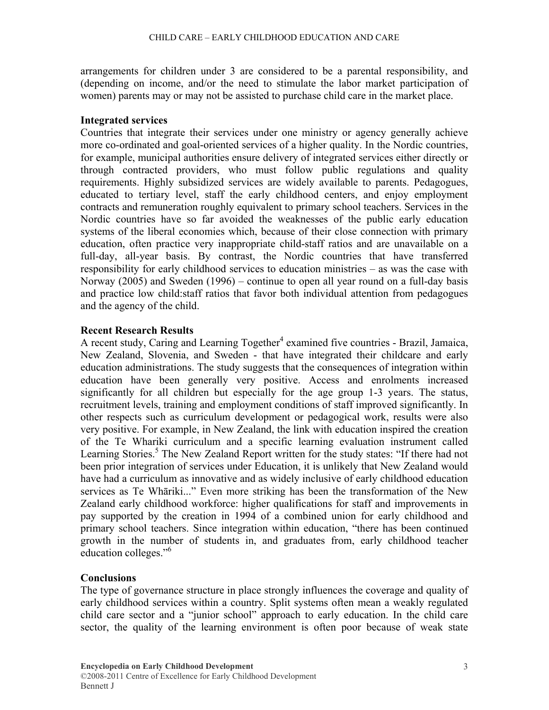arrangements for children under 3 are considered to be a parental responsibility, and (depending on income, and/or the need to stimulate the labor market participation of women) parents may or may not be assisted to purchase child care in the market place.

# **Integrated services**

Countries that integrate their services under one ministry or agency generally achieve more co-ordinated and goal-oriented services of a higher quality. In the Nordic countries, for example, municipal authorities ensure delivery of integrated services either directly or through contracted providers, who must follow public regulations and quality requirements. Highly subsidized services are widely available to parents. Pedagogues, educated to tertiary level, staff the early childhood centers, and enjoy employment contracts and remuneration roughly equivalent to primary school teachers. Services in the Nordic countries have so far avoided the weaknesses of the public early education systems of the liberal economies which, because of their close connection with primary education, often practice very inappropriate child-staff ratios and are unavailable on a full-day, all-year basis. By contrast, the Nordic countries that have transferred responsibility for early childhood services to education ministries – as was the case with Norway (2005) and Sweden (1996) – continue to open all year round on a full-day basis and practice low child:staff ratios that favor both individual attention from pedagogues and the agency of the child.

# **Recent Research Results**

A recent study, Caring and Learning Together<sup>4</sup> examined five countries - Brazil, Jamaica, New Zealand, Slovenia, and Sweden - that have integrated their childcare and early education administrations. The study suggests that the consequences of integration within education have been generally very positive. Access and enrolments increased significantly for all children but especially for the age group 1-3 years. The status, recruitment levels, training and employment conditions of staff improved significantly. In other respects such as curriculum development or pedagogical work, results were also very positive. For example, in New Zealand, the link with education inspired the creation of the Te Whariki curriculum and a specific learning evaluation instrument called Learning Stories.<sup>5</sup> The New Zealand Report written for the study states: "If there had not been prior integration of services under Education, it is unlikely that New Zealand would have had a curriculum as innovative and as widely inclusive of early childhood education services as Te Whāriki..." Even more striking has been the transformation of the New Zealand early childhood workforce: higher qualifications for staff and improvements in pay supported by the creation in 1994 of a combined union for early childhood and primary school teachers. Since integration within education, "there has been continued growth in the number of students in, and graduates from, early childhood teacher education colleges."6

# **Conclusions**

The type of governance structure in place strongly influences the coverage and quality of early childhood services within a country. Split systems often mean a weakly regulated child care sector and a "junior school" approach to early education. In the child care sector, the quality of the learning environment is often poor because of weak state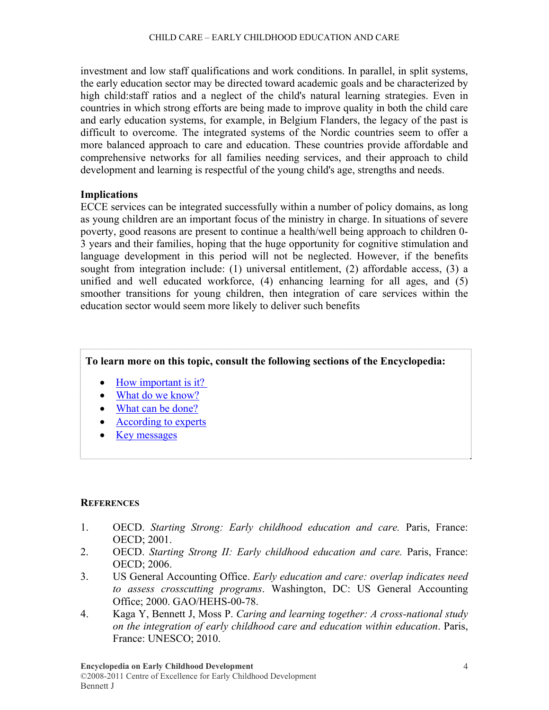investment and low staff qualifications and work conditions. In parallel, in split systems, the early education sector may be directed toward academic goals and be characterized by high child:staff ratios and a neglect of the child's natural learning strategies. Even in countries in which strong efforts are being made to improve quality in both the child care and early education systems, for example, in Belgium Flanders, the legacy of the past is difficult to overcome. The integrated systems of the Nordic countries seem to offer a more balanced approach to care and education. These countries provide affordable and comprehensive networks for all families needing services, and their approach to child development and learning is respectful of the young child's age, strengths and needs.

### **Implications**

ECCE services can be integrated successfully within a number of policy domains, as long as young children are an important focus of the ministry in charge. In situations of severe poverty, good reasons are present to continue a health/well being approach to children 0- 3 years and their families, hoping that the huge opportunity for cognitive stimulation and language development in this period will not be neglected. However, if the benefits sought from integration include: (1) universal entitlement, (2) affordable access, (3) a unified and well educated workforce, (4) enhancing learning for all ages, and (5) smoother transitions for young children, then integration of care services within the education sector would seem more likely to deliver such benefits

# **To learn more on this topic, consult the following sections of the Encyclopedia:**

- How important is it?
- [What do we know?](http://www.child-encyclopedia.com/en-ca/child-care-early-childhood-education-/what-do-we-know.html)
- [What can be done?](http://www.child-encyclopedia.com/en-ca/child-care-early-childhood-education/what-can-be-done.html)
- [According to experts](http://www.child-encyclopedia.com/en-ca/child-care-early-childhood-education/according-to-experts.html)
- [Key messages](http://www.child-encyclopedia.com/en-ca/child-care-early-childhood-education/key-messages.html)

# **REFERENCES**

- 1. OECD. *Starting Strong: Early childhood education and care.* Paris, France: OECD; 2001.
- 2. OECD. *Starting Strong II: Early childhood education and care.* Paris, France: OECD; 2006.
- 3. US General Accounting Office. *Early education and care: overlap indicates need to assess crosscutting programs*. Washington, DC: US General Accounting Office; 2000. GAO/HEHS-00-78.
- 4. Kaga Y, Bennett J, Moss P. *Caring and learning together: A cross-national study on the integration of early childhood care and education within education*. Paris, France: UNESCO; 2010.